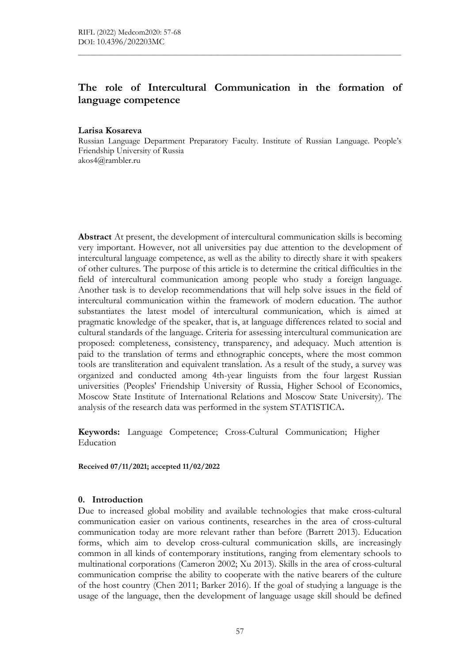# The role of Intercultural Communication in the formation of language competence

#### Larisa Kosareva

Russian Language Department Preparatory Faculty. Institute of Russian Language. People's Friendship University of Russia akos4@rambler.ru

Abstract At present, the development of intercultural communication skills is becoming very important. However, not all universities pay due attention to the development of intercultural language competence, as well as the ability to directly share it with speakers of other cultures. The purpose of this article is to determine the critical difficulties in the field of intercultural communication among people who study a foreign language. Another task is to develop recommendations that will help solve issues in the field of intercultural communication within the framework of modern education. The author substantiates the latest model of intercultural communication, which is aimed at pragmatic knowledge of the speaker, that is, at language differences related to social and cultural standards of the language. Criteria for assessing intercultural communication are proposed: completeness, consistency, transparency, and adequacy. Much attention is paid to the translation of terms and ethnographic concepts, where the most common tools are transliteration and equivalent translation. As a result of the study, a survey was organized and conducted among 4th-year linguists from the four largest Russian universities (Peoples' Friendship University of Russia, Higher School of Economics, Moscow State Institute of International Relations and Moscow State University). The analysis of the research data was performed in the system STATISTICA.

Keywords: Language Competence; Cross-Cultural Communication; Higher Education

Received 07/11/2021; accepted 11/02/2022

#### 0. Introduction

Due to increased global mobility and available technologies that make cross-cultural communication easier on various continents, researches in the area of cross-cultural communication today are more relevant rather than before (Barrett 2013). Education forms, which aim to develop cross-cultural communication skills, are increasingly common in all kinds of contemporary institutions, ranging from elementary schools to multinational corporations (Cameron 2002; Xu 2013). Skills in the area of cross-cultural communication comprise the ability to cooperate with the native bearers of the culture of the host country (Chen 2011; Barker 2016). If the goal of studying a language is the usage of the language, then the development of language usage skill should be defined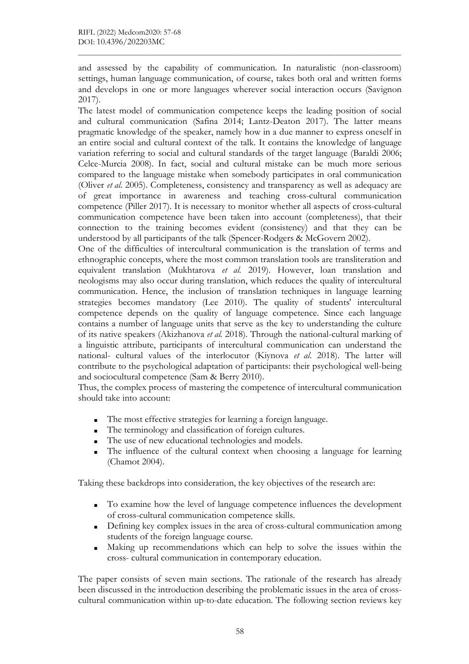and assessed by the capability of communication. In naturalistic (non-classroom) settings, human language communication, of course, takes both oral and written forms and develops in one or more languages wherever social interaction occurs (Savignon 2017).

The latest model of communication competence keeps the leading position of social and cultural communication (Safina 2014; Lantz-Deaton 2017). The latter means pragmatic knowledge of the speaker, namely how in a due manner to express oneself in an entire social and cultural context of the talk. It contains the knowledge of language variation referring to social and cultural standards of the target language (Baraldi 2006; Celce-Murcia 2008). In fact, social and cultural mistake can be much more serious compared to the language mistake when somebody participates in oral communication (Oliver et al. 2005). Completeness, consistency and transparency as well as adequacy are of great importance in awareness and teaching cross-cultural communication competence (Piller 2017). It is necessary to monitor whether all aspects of cross-cultural communication competence have been taken into account (completeness), that their connection to the training becomes evident (consistency) and that they can be understood by all participants of the talk (Spencer-Rodgers & McGovern 2002).

One of the difficulties of intercultural communication is the translation of terms and ethnographic concepts, where the most common translation tools are transliteration and equivalent translation (Mukhtarova et al. 2019). However, loan translation and neologisms may also occur during translation, which reduces the quality of intercultural communication. Hence, the inclusion of translation techniques in language learning strategies becomes mandatory (Lee 2010). The quality of students' intercultural competence depends on the quality of language competence. Since each language contains a number of language units that serve as the key to understanding the culture of its native speakers (Akizhanova et al. 2018). Through the national-cultural marking of a linguistic attribute, participants of intercultural communication can understand the national- cultural values of the interlocutor (Kiynova et al. 2018). The latter will contribute to the psychological adaptation of participants: their psychological well-being and sociocultural competence (Sam & Berry 2010).

Thus, the complex process of mastering the competence of intercultural communication should take into account:

- The most effective strategies for learning a foreign language.
- The terminology and classification of foreign cultures.
- The use of new educational technologies and models.
- The influence of the cultural context when choosing a language for learning (Chamot 2004).

Taking these backdrops into consideration, the key objectives of the research are:

- To examine how the level of language competence influences the development of cross-cultural communication competence skills.
- Defining key complex issues in the area of cross-cultural communication among students of the foreign language course.
- Making up recommendations which can help to solve the issues within the cross- cultural communication in contemporary education.

The paper consists of seven main sections. The rationale of the research has already been discussed in the introduction describing the problematic issues in the area of crosscultural communication within up-to-date education. The following section reviews key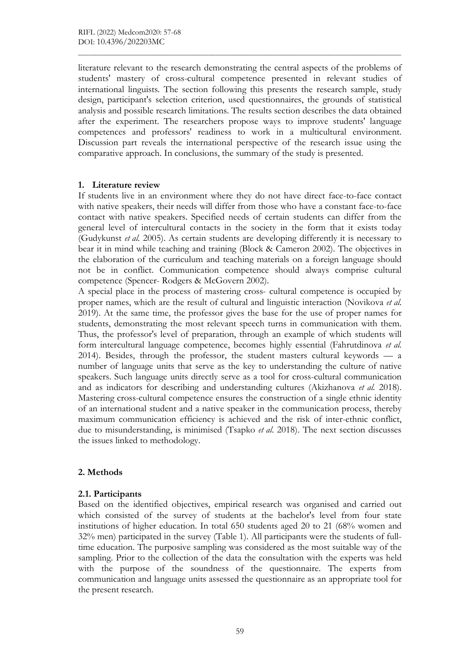literature relevant to the research demonstrating the central aspects of the problems of students' mastery of cross-cultural competence presented in relevant studies of international linguists. The section following this presents the research sample, study design, participant's selection criterion, used questionnaires, the grounds of statistical analysis and possible research limitations. The results section describes the data obtained after the experiment. The researchers propose ways to improve students' language competences and professors' readiness to work in a multicultural environment. Discussion part reveals the international perspective of the research issue using the comparative approach. In conclusions, the summary of the study is presented.

### 1. Literature review

If students live in an environment where they do not have direct face-to-face contact with native speakers, their needs will differ from those who have a constant face-to-face contact with native speakers. Specified needs of certain students can differ from the general level of intercultural contacts in the society in the form that it exists today (Gudykunst et al. 2005). As certain students are developing differently it is necessary to bear it in mind while teaching and training (Block & Cameron 2002). The objectives in the elaboration of the curriculum and teaching materials on a foreign language should not be in conflict. Communication competence should always comprise cultural competence (Spencer- Rodgers & McGovern 2002).

A special place in the process of mastering cross- cultural competence is occupied by proper names, which are the result of cultural and linguistic interaction (Novikova et al. 2019). At the same time, the professor gives the base for the use of proper names for students, demonstrating the most relevant speech turns in communication with them. Thus, the professor's level of preparation, through an example of which students will form intercultural language competence, becomes highly essential (Fahrutdinova et al. 2014). Besides, through the professor, the student masters cultural keywords — a number of language units that serve as the key to understanding the culture of native speakers. Such language units directly serve as a tool for cross-cultural communication and as indicators for describing and understanding cultures (Akizhanova et al. 2018). Mastering cross-cultural competence ensures the construction of a single ethnic identity of an international student and a native speaker in the communication process, thereby maximum communication efficiency is achieved and the risk of inter-ethnic conflict, due to misunderstanding, is minimised (Tsapko et al. 2018). The next section discusses the issues linked to methodology.

# 2. Methods

### 2.1. Participants

Based on the identified objectives, empirical research was organised and carried out which consisted of the survey of students at the bachelor's level from four state institutions of higher education. In total 650 students aged 20 to 21 (68% women and 32% men) participated in the survey (Table 1). All participants were the students of fulltime education. The purposive sampling was considered as the most suitable way of the sampling. Prior to the collection of the data the consultation with the experts was held with the purpose of the soundness of the questionnaire. The experts from communication and language units assessed the questionnaire as an appropriate tool for the present research.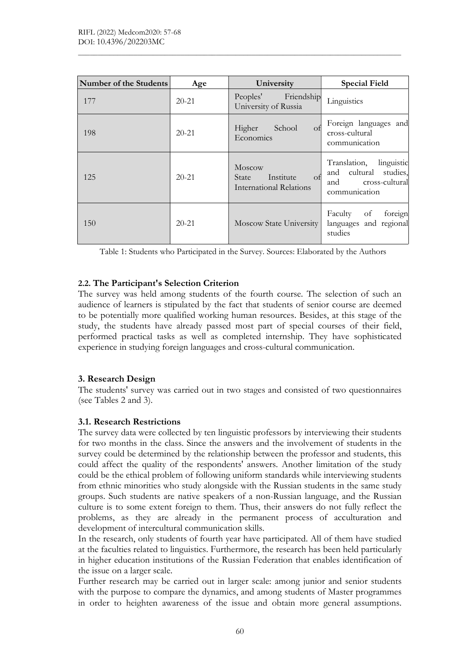| Number of the Students | Age       | University                                                           | <b>Special Field</b>                                                                          |
|------------------------|-----------|----------------------------------------------------------------------|-----------------------------------------------------------------------------------------------|
| 177                    | $20 - 21$ | Friendship<br>Peoples'<br>University of Russia                       | Linguistics                                                                                   |
| 198                    | $20 - 21$ | Higher<br>School<br>of<br>Economics                                  | Foreign languages and<br>cross-cultural<br>communication                                      |
| 125                    | $20 - 21$ | Moscow<br>Institute<br>of<br>State<br><b>International Relations</b> | Translation,<br>linguistic<br>and cultural studies,<br>cross-cultural<br>and<br>communication |
| 150                    | $20 - 21$ | <b>Moscow State University</b>                                       | Faculty<br>of<br>foreign<br>languages and regional<br>studies                                 |

Table 1: Students who Participated in the Survey. Sources: Elaborated by the Authors

### 2.2. The Participant's Selection Criterion

The survey was held among students of the fourth course. The selection of such an audience of learners is stipulated by the fact that students of senior course are deemed to be potentially more qualified working human resources. Besides, at this stage of the study, the students have already passed most part of special courses of their field, performed practical tasks as well as completed internship. They have sophisticated experience in studying foreign languages and cross-cultural communication.

### 3. Research Design

The students' survey was carried out in two stages and consisted of two questionnaires (see Tables 2 and 3).

### 3.1. Research Restrictions

The survey data were collected by ten linguistic professors by interviewing their students for two months in the class. Since the answers and the involvement of students in the survey could be determined by the relationship between the professor and students, this could affect the quality of the respondents' answers. Another limitation of the study could be the ethical problem of following uniform standards while interviewing students from ethnic minorities who study alongside with the Russian students in the same study groups. Such students are native speakers of a non-Russian language, and the Russian culture is to some extent foreign to them. Thus, their answers do not fully reflect the problems, as they are already in the permanent process of acculturation and development of intercultural communication skills.

In the research, only students of fourth year have participated. All of them have studied at the faculties related to linguistics. Furthermore, the research has been held particularly in higher education institutions of the Russian Federation that enables identification of the issue on a larger scale.

Further research may be carried out in larger scale: among junior and senior students with the purpose to compare the dynamics, and among students of Master programmes in order to heighten awareness of the issue and obtain more general assumptions.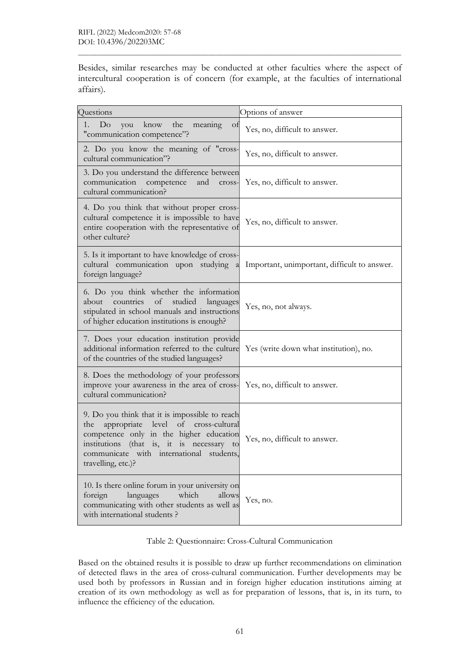Besides, similar researches may be conducted at other faculties where the aspect of intercultural cooperation is of concern (for example, at the faculties of international affairs).

| Questions                                                                                                                                                                                                                                                          | Options of answer                            |  |
|--------------------------------------------------------------------------------------------------------------------------------------------------------------------------------------------------------------------------------------------------------------------|----------------------------------------------|--|
| know<br>the<br>Do<br>meaning<br>1.<br>you<br>Οt<br>"communication competence"?                                                                                                                                                                                     | Yes, no, difficult to answer.                |  |
| 2. Do you know the meaning of "cross-<br>cultural communication"?                                                                                                                                                                                                  | Yes, no, difficult to answer.                |  |
| 3. Do you understand the difference between<br>communication<br>competence<br>and<br>cross-<br>cultural communication?                                                                                                                                             | Yes, no, difficult to answer.                |  |
| 4. Do you think that without proper cross-<br>cultural competence it is impossible to have<br>entire cooperation with the representative of<br>other culture?                                                                                                      | Yes, no, difficult to answer.                |  |
| 5. Is it important to have knowledge of cross-<br>cultural communication upon studying<br>a<br>foreign language?                                                                                                                                                   | Important, unimportant, difficult to answer. |  |
| 6. Do you think whether the information<br>countries<br>of<br>studied<br>about<br>languages<br>stipulated in school manuals and instructions<br>of higher education institutions is enough?                                                                        | Yes, no, not always.                         |  |
| 7. Does your education institution provide<br>additional information referred to the culture<br>of the countries of the studied languages?                                                                                                                         | Yes (write down what institution), no.       |  |
| 8. Does the methodology of your professors<br>improve your awareness in the area of cross-<br>cultural communication?                                                                                                                                              | Yes, no, difficult to answer.                |  |
| 9. Do you think that it is impossible to reach<br>appropriate<br>level<br>of<br>cross-cultural<br>the<br>competence only in the higher education<br>institutions (that is, it is necessary to<br>communicate with international<br>students,<br>travelling, etc.)? | Yes, no, difficult to answer.                |  |
| 10. Is there online forum in your university on<br>languages<br>which<br>foreign<br>allows<br>communicating with other students as well as<br>with international students?                                                                                         | Yes, no.                                     |  |

Table 2: Questionnaire: Cross-Cultural Communication

Based on the obtained results it is possible to draw up further recommendations on elimination of detected flaws in the area of cross-cultural communication. Further developments may be used both by professors in Russian and in foreign higher education institutions aiming at creation of its own methodology as well as for preparation of lessons, that is, in its turn, to influence the efficiency of the education.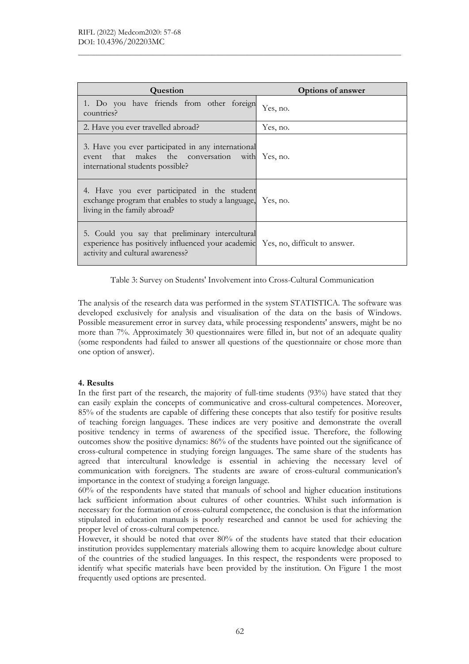| <b>Question</b>                                                                                                                                                         | <b>Options of answer</b> |
|-------------------------------------------------------------------------------------------------------------------------------------------------------------------------|--------------------------|
| 1. Do you have friends from other foreign<br>countries?                                                                                                                 | Yes, no.                 |
| 2. Have you ever travelled abroad?                                                                                                                                      | Yes, no.                 |
| 3. Have you ever participated in any international<br>event that makes the conversation with Yes, no.<br>international students possible?                               |                          |
| 4. Have you ever participated in the student<br>exchange program that enables to study a language, Yes, no.<br>living in the family abroad?                             |                          |
| 5. Could you say that preliminary intercultural<br>experience has positively influenced your academic Yes, no, difficult to answer.<br>activity and cultural awareness? |                          |

Table 3: Survey on Students' Involvement into Cross-Cultural Communication

The analysis of the research data was performed in the system STATISTICA. The software was developed exclusively for analysis and visualisation of the data on the basis of Windows. Possible measurement error in survey data, while processing respondents' answers, might be no more than 7%. Approximately 30 questionnaires were filled in, but not of an adequate quality (some respondents had failed to answer all questions of the questionnaire or chose more than one option of answer).

#### 4. Results

In the first part of the research, the majority of full-time students (93%) have stated that they can easily explain the concepts of communicative and cross-cultural competences. Moreover, 85% of the students are capable of differing these concepts that also testify for positive results of teaching foreign languages. These indices are very positive and demonstrate the overall positive tendency in terms of awareness of the specified issue. Therefore, the following outcomes show the positive dynamics: 86% of the students have pointed out the significance of cross-cultural competence in studying foreign languages. The same share of the students has agreed that intercultural knowledge is essential in achieving the necessary level of communication with foreigners. The students are aware of cross-cultural communication's importance in the context of studying a foreign language.

60% of the respondents have stated that manuals of school and higher education institutions lack sufficient information about cultures of other countries. Whilst such information is necessary for the formation of cross-cultural competence, the conclusion is that the information stipulated in education manuals is poorly researched and cannot be used for achieving the proper level of cross-cultural competence.

However, it should be noted that over 80% of the students have stated that their education institution provides supplementary materials allowing them to acquire knowledge about culture of the countries of the studied languages. In this respect, the respondents were proposed to identify what specific materials have been provided by the institution. On Figure 1 the most frequently used options are presented.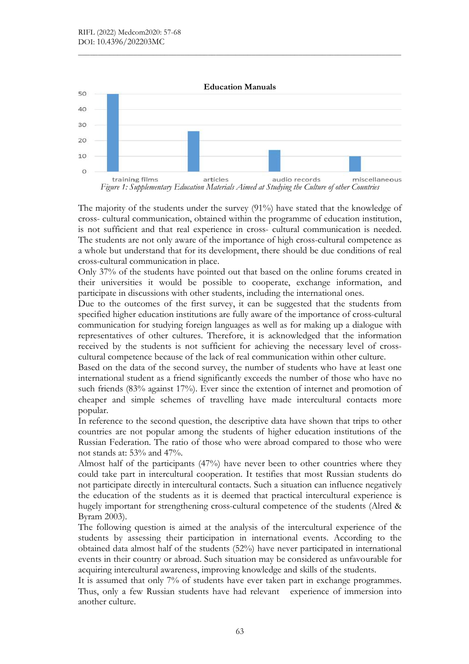



The majority of the students under the survey (91%) have stated that the knowledge of cross- cultural communication, obtained within the programme of education institution, is not sufficient and that real experience in cross- cultural communication is needed. The students are not only aware of the importance of high cross-cultural competence as a whole but understand that for its development, there should be due conditions of real cross-cultural communication in place.

Only 37% of the students have pointed out that based on the online forums created in their universities it would be possible to cooperate, exchange information, and participate in discussions with other students, including the international ones.

Due to the outcomes of the first survey, it can be suggested that the students from specified higher education institutions are fully aware of the importance of cross-cultural communication for studying foreign languages as well as for making up a dialogue with representatives of other cultures. Therefore, it is acknowledged that the information received by the students is not sufficient for achieving the necessary level of crosscultural competence because of the lack of real communication within other culture.

Based on the data of the second survey, the number of students who have at least one international student as a friend significantly exceeds the number of those who have no such friends (83% against 17%). Ever since the extention of internet and promotion of cheaper and simple schemes of travelling have made intercultural contacts more popular.

In reference to the second question, the descriptive data have shown that trips to other countries are not popular among the students of higher education institutions of the Russian Federation. The ratio of those who were abroad compared to those who were not stands at: 53% and 47%.

Almost half of the participants (47%) have never been to other countries where they could take part in intercultural cooperation. It testifies that most Russian students do not participate directly in intercultural contacts. Such a situation can influence negatively the education of the students as it is deemed that practical intercultural experience is hugely important for strengthening cross-cultural competence of the students (Alred & Byram 2003).

The following question is aimed at the analysis of the intercultural experience of the students by assessing their participation in international events. According to the obtained data almost half of the students (52%) have never participated in international events in their country or abroad. Such situation may be considered as unfavourable for acquiring intercultural awareness, improving knowledge and skills of the students.

It is assumed that only 7% of students have ever taken part in exchange programmes. Thus, only a few Russian students have had relevant experience of immersion into another culture.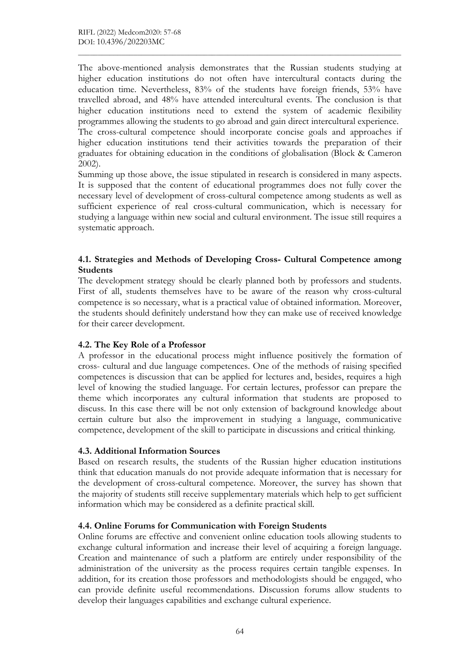The above-mentioned analysis demonstrates that the Russian students studying at higher education institutions do not often have intercultural contacts during the education time. Nevertheless, 83% of the students have foreign friends, 53% have travelled abroad, and 48% have attended intercultural events. The conclusion is that higher education institutions need to extend the system of academic flexibility programmes allowing the students to go abroad and gain direct intercultural experience. The cross-cultural competence should incorporate concise goals and approaches if higher education institutions tend their activities towards the preparation of their graduates for obtaining education in the conditions of globalisation (Block & Cameron 2002).

Summing up those above, the issue stipulated in research is considered in many aspects. It is supposed that the content of educational programmes does not fully cover the necessary level of development of cross-cultural competence among students as well as sufficient experience of real cross-cultural communication, which is necessary for studying a language within new social and cultural environment. The issue still requires a systematic approach.

### 4.1. Strategies and Methods of Developing Cross- Cultural Competence among **Students**

The development strategy should be clearly planned both by professors and students. First of all, students themselves have to be aware of the reason why cross-cultural competence is so necessary, what is a practical value of obtained information. Moreover, the students should definitely understand how they can make use of received knowledge for their career development.

# 4.2. The Key Role of a Professor

A professor in the educational process might influence positively the formation of cross- cultural and due language competences. One of the methods of raising specified competences is discussion that can be applied for lectures and, besides, requires a high level of knowing the studied language. For certain lectures, professor can prepare the theme which incorporates any cultural information that students are proposed to discuss. In this case there will be not only extension of background knowledge about certain culture but also the improvement in studying a language, communicative competence, development of the skill to participate in discussions and critical thinking.

### 4.3. Additional Information Sources

Based on research results, the students of the Russian higher education institutions think that education manuals do not provide adequate information that is necessary for the development of cross-cultural competence. Moreover, the survey has shown that the majority of students still receive supplementary materials which help to get sufficient information which may be considered as a definite practical skill.

# 4.4. Online Forums for Communication with Foreign Students

Online forums are effective and convenient online education tools allowing students to exchange cultural information and increase their level of acquiring a foreign language. Creation and maintenance of such a platform are entirely under responsibility of the administration of the university as the process requires certain tangible expenses. In addition, for its creation those professors and methodologists should be engaged, who can provide definite useful recommendations. Discussion forums allow students to develop their languages capabilities and exchange cultural experience.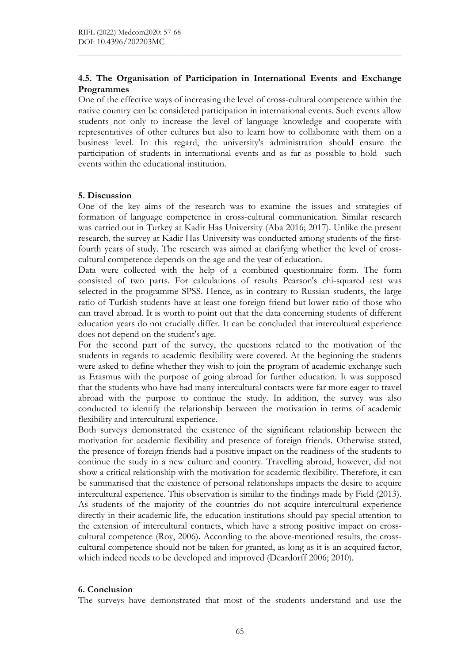### 4.5. The Organisation of Participation in International Events and Exchange Programmes

One of the effective ways of increasing the level of cross-cultural competence within the native country can be considered participation in international events. Such events allow students not only to increase the level of language knowledge and cooperate with representatives of other cultures but also to learn how to collaborate with them on a business level. In this regard, the university's administration should ensure the participation of students in international events and as far as possible to hold such events within the educational institution.

#### 5. Discussion

One of the key aims of the research was to examine the issues and strategies of formation of language competence in cross-cultural communication. Similar research was carried out in Turkey at Kadir Has University (Aba 2016; 2017). Unlike the present research, the survey at Kadir Has University was conducted among students of the firstfourth years of study. The research was aimed at clarifying whether the level of crosscultural competence depends on the age and the year of education.

Data were collected with the help of a combined questionnaire form. The form consisted of two parts. For calculations of results Pearson's chi-squared test was selected in the programme SPSS. Hence, as in contrary to Russian students, the large ratio of Turkish students have at least one foreign friend but lower ratio of those who can travel abroad. It is worth to point out that the data concerning students of different education years do not crucially differ. It can be concluded that intercultural experience does not depend on the student's age.

For the second part of the survey, the questions related to the motivation of the students in regards to academic flexibility were covered. At the beginning the students were asked to define whether they wish to join the program of academic exchange such as Erasmus with the purpose of going abroad for further education. It was supposed that the students who have had many intercultural contacts were far more eager to travel abroad with the purpose to continue the study. In addition, the survey was also conducted to identify the relationship between the motivation in terms of academic flexibility and intercultural experience.

Both surveys demonstrated the existence of the significant relationship between the motivation for academic flexibility and presence of foreign friends. Otherwise stated, the presence of foreign friends had a positive impact on the readiness of the students to continue the study in a new culture and country. Travelling abroad, however, did not show a critical relationship with the motivation for academic flexibility. Therefore, it can be summarised that the existence of personal relationships impacts the desire to acquire intercultural experience. This observation is similar to the findings made by Field (2013). As students of the majority of the countries do not acquire intercultural experience directly in their academic life, the education institutions should pay special attention to the extension of intercultural contacts, which have a strong positive impact on crosscultural competence (Roy, 2006). According to the above-mentioned results, the crosscultural competence should not be taken for granted, as long as it is an acquired factor, which indeed needs to be developed and improved (Deardorff 2006; 2010).

### 6. Conclusion

The surveys have demonstrated that most of the students understand and use the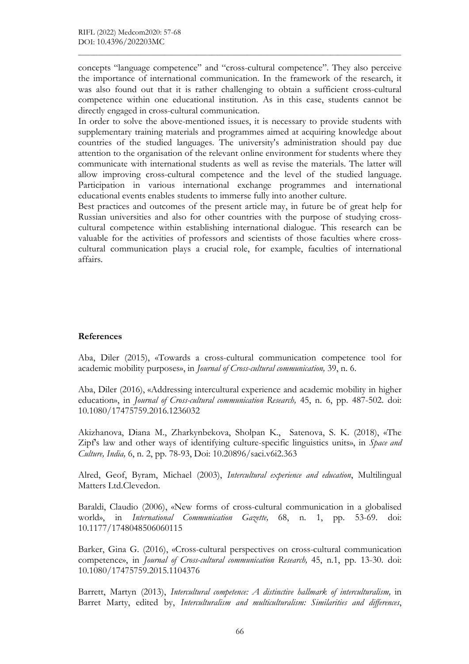concepts "language competence" and "cross-cultural competence". They also perceive the importance of international communication. In the framework of the research, it was also found out that it is rather challenging to obtain a sufficient cross-cultural competence within one educational institution. As in this case, students cannot be directly engaged in cross-cultural communication.

In order to solve the above-mentioned issues, it is necessary to provide students with supplementary training materials and programmes aimed at acquiring knowledge about countries of the studied languages. The university's administration should pay due attention to the organisation of the relevant online environment for students where they communicate with international students as well as revise the materials. The latter will allow improving cross-cultural competence and the level of the studied language. Participation in various international exchange programmes and international educational events enables students to immerse fully into another culture.

Best practices and outcomes of the present article may, in future be of great help for Russian universities and also for other countries with the purpose of studying crosscultural competence within establishing international dialogue. This research can be valuable for the activities of professors and scientists of those faculties where crosscultural communication plays a crucial role, for example, faculties of international affairs.

### References

Aba, Diler (2015), «Towards a cross-cultural communication competence tool for academic mobility purposes», in Journal of Cross-cultural communication, 39, n. 6.

Aba, Diler (2016), «Addressing intercultural experience and academic mobility in higher education», in Journal of Cross-cultural communication Research, 45, n. 6, pp. 487-502. doi: 10.1080/17475759.2016.1236032

Akizhanova, Diana M., Zharkynbekova, Sholpan K., Satenova, S. K. (2018), «The Zipf's law and other ways of identifying culture-specific linguistics units», in Space and Culture, India, 6, n. 2, pp. 78-93, Doi: 10.20896/saci.v6i2.363

Alred, Geof, Byram, Michael (2003), Intercultural experience and education, Multilingual Matters Ltd.Clevedon.

Baraldi, Claudio (2006), «New forms of cross-cultural communication in a globalised world», in *International Communication Gazette*, 68, n. 1, pp. 53-69. doi: 10.1177/1748048506060115

Barker, Gina G. (2016), «Cross-cultural perspectives on cross-cultural communication competence», in Journal of Cross-cultural communication Research, 45, n.1, pp. 13-30. doi: 10.1080/17475759.2015.1104376

Barrett, Martyn (2013), Intercultural competence: A distinctive hallmark of interculturalism, in Barret Marty, edited by, Interculturalism and multiculturalism: Similarities and differences,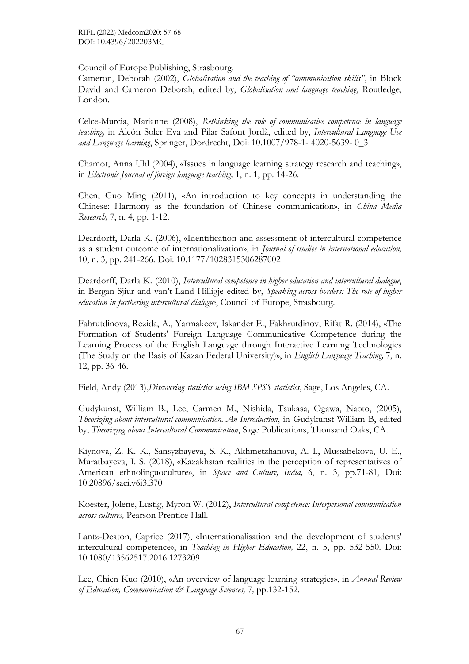#### Council of Europe Publishing, Strasbourg.

Cameron, Deborah (2002), Globalisation and the teaching of "communication skills", in Block David and Cameron Deborah, edited by, Globalisation and language teaching, Routledge, London.

Celce-Murcia, Marianne (2008), Rethinking the role of communicative competence in language teaching, in Alcón Soler Eva and Pilar Safont Jordà, edited by, Intercultural Language Use and Language learning, Springer, Dordrecht, Doi: 10.1007/978-1- 4020-5639- 0\_3

Chamot, Anna Uhl (2004), «Issues in language learning strategy research and teaching», in Electronic Journal of foreign language teaching, 1, n. 1, pp. 14-26.

Chen, Guo Ming (2011), «An introduction to key concepts in understanding the Chinese: Harmony as the foundation of Chinese communication», in *China Media* Research, 7, n. 4, pp. 1-12.

Deardorff, Darla K. (2006), «Identification and assessment of intercultural competence as a student outcome of internationalization», in Journal of studies in international education, 10, n. 3, pp. 241-266. Doi: 10.1177/1028315306287002

Deardorff, Darla K. (2010), Intercultural competence in higher education and intercultural dialogue, in Bergan Sjiur and van't Land Hilligje edited by, Speaking across borders: The role of higher education in furthering intercultural dialogue, Council of Europe, Strasbourg.

Fahrutdinova, Rezida, A., Yarmakeev, Iskander E., Fakhrutdinov, Rifat R. (2014), «The Formation of Students' Foreign Language Communicative Competence during the Learning Process of the English Language through Interactive Learning Technologies (The Study on the Basis of Kazan Federal University)», in English Language Teaching, 7, n. 12, pp. 36-46.

Field, Andy (2013), *Discovering statistics using IBM SPSS statistics*, Sage, Los Angeles, CA.

Gudykunst, William B., Lee, Carmen M., Nishida, Tsukasa, Ogawa, Naoto, (2005), Theorizing about intercultural communication. An Introduction, in Gudykunst William B, edited by, Theorizing about Intercultural Communication, Sage Publications, Thousand Oaks, CA.

Kiynova, Z. K. K., Sansyzbayeva, S. K., Akhmetzhanova, A. I., Mussabekova, U. E., Muratbayeva, I. S. (2018), «Kazakhstan realities in the perception of representatives of American ethnolinguoculture», in Space and Culture, India, 6, n. 3, pp.71-81, Doi: 10.20896/saci.v6i3.370

Koester, Jolene, Lustig, Myron W. (2012), Intercultural competence: Interpersonal communication across cultures, Pearson Prentice Hall.

Lantz-Deaton, Caprice (2017), «Internationalisation and the development of students' intercultural competence», in Teaching in Higher Education, 22, n. 5, pp. 532-550. Doi: 10.1080/13562517.2016.1273209

Lee, Chien Kuo (2010), «An overview of language learning strategies», in Annual Review of Education, Communication  $\mathcal O$  Language Sciences, 7, pp.132-152.